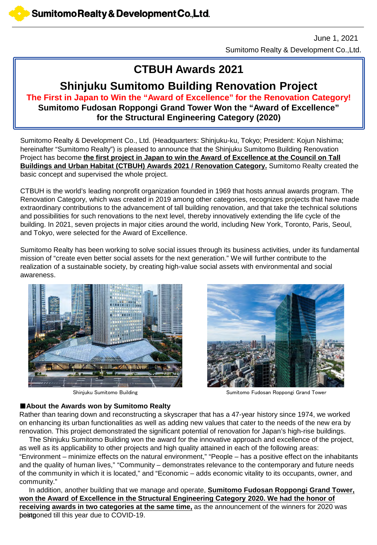Sumitomo Realty & Development Co.,Ltd. June 1, 2021

# **CTBUH Awards 2021**

# **Shinjuku Sumitomo Building Renovation Project**

**The First in Japan to Win the "Award of Excellence" for the Renovation Category! Sumitomo Fudosan Roppongi Grand Tower Won the "Award of Excellence" for the Structural Engineering Category (2020)**

Sumitomo Realty & Development Co., Ltd. (Headquarters: Shinjuku-ku, Tokyo; President: Kojun Nishima; hereinafter "Sumitomo Realty") is pleased to announce that the Shinjuku Sumitomo Building Renovation Project has become **the first project in Japan to win the Award of Excellence at the Council on Tall Buildings and Urban Habitat (CTBUH) Awards 2021 / Renovation Category.** Sumitomo Realty created the basic concept and supervised the whole project.

CTBUH is the world's leading nonprofit organization founded in 1969 that hosts annual awards program. The Renovation Category, which was created in 2019 among other categories, recognizes projects that have made extraordinary contributions to the advancement of tall building renovation, and that take the technical solutions and possibilities for such renovations to the next level, thereby innovatively extending the life cycle of the building. In 2021, seven projects in major cities around the world, including New York, Toronto, Paris, Seoul, and Tokyo, were selected for the Award of Excellence.

Sumitomo Realty has been working to solve social issues through its business activities, under its fundamental mission of "create even better social assets for the next generation." We will further contribute to the realization of a sustainable society, by creating high-value social assets with environmental and social awareness.





Shinjuku Sumitomo Building Summan Sumitomo Fudosan Roppongi Grand Tower

### ■**About the Awards won by Sumitomo Realty**

Rather than tearing down and reconstructing a skyscraper that has a 47-year history since 1974, we worked on enhancing its urban functionalities as well as adding new values that cater to the needs of the new era by renovation. This project demonstrated the significant potential of renovation for Japan's high-rise buildings.

The Shinjuku Sumitomo Building won the award for the innovative approach and excellence of the project, as well as its applicability to other projects and high quality attained in each of the following areas: "Environment – minimize effects on the natural environment," "People – has a positive effect on the inhabitants and the quality of human lives," "Community – demonstrates relevance to the contemporary and future needs of the community in which it is located," and "Economic – adds economic vitality to its occupants, owner, and community."

In addition, another building that we manage and operate, **Sumitomo Fudosan Roppongi Grand Tower, won the Award of Excellence in the Structural Engineering Category 2020. We had the honor of receiving awards in two categories at the same time,** as the announcement of the winners for 2020 was bestponed till this year due to COVID-19.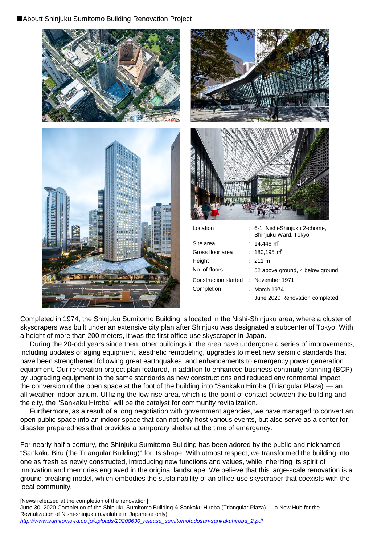### ■Aboutt Shinjuku Sumitomo Building Renovation Project





| Site area            | : $14,446 \text{ m}^2$            |
|----------------------|-----------------------------------|
| Gross floor area     | : $180,195 \text{ m}^2$           |
| Height               | $:211 \text{ m}$                  |
| No. of floors        | : 52 above ground, 4 below ground |
| Construction started | : November 1971                   |
| Completion           | $\therefore$ March 1974           |
|                      | June 2020 Renovation completed    |

Completed in 1974, the Shinjuku Sumitomo Building is located in the Nishi-Shinjuku area, where a cluster of skyscrapers was built under an extensive city plan after Shinjuku was designated a subcenter of Tokyo. With a height of more than 200 meters, it was the first office-use skyscraper in Japan.

During the 20-odd years since then, other buildings in the area have undergone a series of improvements, including updates of aging equipment, aesthetic remodeling, upgrades to meet new seismic standards that have been strengthened following great earthquakes, and enhancements to emergency power generation equipment. Our renovation project plan featured, in addition to enhanced business continuity planning (BCP) by upgrading equipment to the same standards as new constructions and reduced environmental impact, the conversion of the open space at the foot of the building into "Sankaku Hiroba (Triangular Plaza)"— an all-weather indoor atrium. Utilizing the low-rise area, which is the point of contact between the building and the city, the "Sankaku Hiroba" will be the catalyst for community revitalization.

Furthermore, as a result of a long negotiation with government agencies, we have managed to convert an open public space into an indoor space that can not only host various events, but also serve as a center for disaster preparedness that provides a temporary shelter at the time of emergency.

For nearly half a century, the Shinjuku Sumitomo Building has been adored by the public and nicknamed "Sankaku Biru (the Triangular Building)" for its shape. With utmost respect, we transformed the building into one as fresh as newly constructed, introducing new functions and values, while inheriting its spirit of innovation and memories engraved in the original landscape. We believe that this large-scale renovation is a ground-breaking model, which embodies the sustainability of an office-use skyscraper that coexists with the local community.

[News released at the completion of the renovation] June 30, 2020 Completion of the Shinjuku Sumitomo Building & Sankaku Hiroba (Triangular Plaza) ― a New Hub for the Revitalization of Nishi-shinjuku (available in Japanese only): *[http://www.sumitomo-rd.co.jp/uploads/20200630\\_release\\_sumitomofudosan-sankakuhiroba\\_2.pdf](http://www.sumitomo-rd.co.jp/uploads/20200630_release_sumitomofudosan-sankakuhiroba_2.pdf)*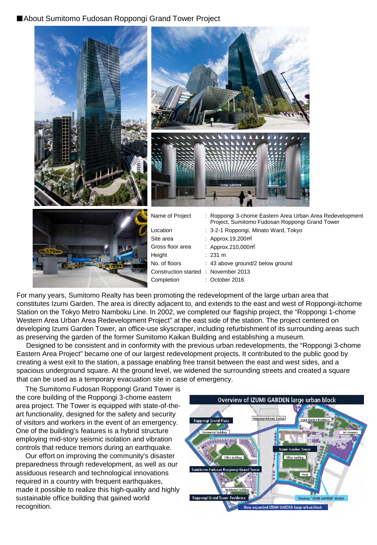# ■About Sumitomo Fudosan Roppongi Grand Tower Project



For many years, Sumitomo Realty has been promoting the redevelopment of the large urban area that constitutes Izumi Garden. The area is directly adjacent to, and extends to the east and west of Roppongi-itchome Station on the Tokyo Metro Namboku Line. In 2002, we completed our flagship project, the "Roppongi 1-chome Western Area Urban Area Redevelopment Project" at the east side of the station. The project centered on developing Izumi Garden Tower, an office-use skyscraper, including refurbishment of its surrounding areas such as preserving the garden of the former Sumitomo Kaikan Building and establishing a museum.

Designed to be consistent and in conformity with the previous urban redevelopments, the "Roppongi 3-chome Eastern Area Project" became one of our largest redevelopment projects. It contributed to the public good by creating a west exit to the station, a passage enabling free transit between the east and west sides, and a spacious underground square. At the ground level, we widened the surrounding streets and created a square that can be used as a temporary evacuation site in case of emergency.

The Sumitomo Fudosan Roppongi Grand Tower is the core building of the Roppongi 3-chome eastern area project. The Tower is equipped with state-of-theart functionality, designed for the safety and security of visitors and workers in the event of an emergency. One of the building's features is a hybrid structure employing mid-story seismic isolation and vibration controls that reduce tremors during an earthquake.

Our effort on improving the community's disaster preparedness through redevelopment, as well as our assiduous research and technological innovations required in a country with frequent earthquakes, made it possible to realize this high-quality and highly sustainable office building that gained world recognition.

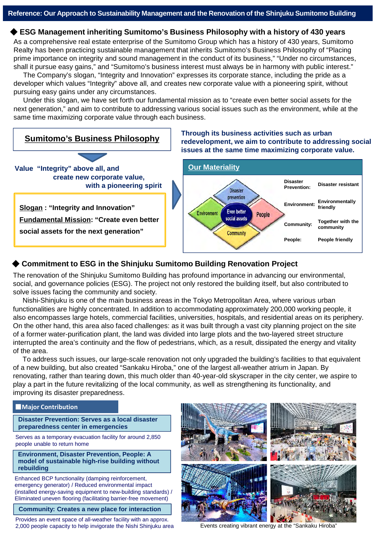### ◆ **ESG Management inheriting Sumitomo's Business Philosophy with a history of 430 years**

As a comprehensive real estate enterprise of the Sumitomo Group which has a history of 430 years, Sumitomo Realty has been practicing sustainable management that inherits Sumitomo's Business Philosophy of "Placing prime importance on integrity and sound management in the conduct of its business," "Under no circumstances, shall it pursue easy gains," and "Sumitomo's business interest must always be in harmony with public interest."

The Company's slogan, "Integrity and Innovation" expresses its corporate stance, including the pride as a developer which values "Integrity" above all, and creates new corporate value with a pioneering spirit, without pursuing easy gains under any circumstances.

Under this slogan, we have set forth our fundamental mission as to "create even better social assets for the next generation," and aim to contribute to addressing various social issues such as the environment, while at the same time maximizing corporate value through each business.

#### **Sumitomo's Business Philosophy issues at the same time maximizing corporate value. Our Materiality Value "Integrity" above all, and create new corporate value, Disaster Prevention: Disaster resistant with a pioneering spirit Disaster** prevention **Environment: Environmentally Slogan : "Integrity and Innovation" friendly Even better Environment** People social assets **Fundamental Mission: "Create even better Community: Together with the community social assets for the next generation"** Community **People: People friendly**

## ◆ Commitment to ESG in the Shinjuku Sumitomo Building Renovation Project

The renovation of the Shinjuku Sumitomo Building has profound importance in advancing our environmental, social, and governance policies (ESG). The project not only restored the building itself, but also contributed to solve issues facing the community and society.

Nishi-Shinjuku is one of the main business areas in the Tokyo Metropolitan Area, where various urban functionalities are highly concentrated. In addition to accommodating approximately 200,000 working people, it also encompasses large hotels, commercial facilities, universities, hospitals, and residential areas on its periphery. On the other hand, this area also faced challenges: as it was built through a vast city planning project on the site of a former water-purification plant, the land was divided into large plots and the two-layered street structure interrupted the area's continuity and the flow of pedestrians, which, as a result, dissipated the energy and vitality of the area.

To address such issues, our large-scale renovation not only upgraded the building's facilities to that equivalent of a new building, but also created "Sankaku Hiroba," one of the largest all-weather atrium in Japan. By renovating, rather than tearing down, this much older than 40-year-old skyscraper in the city center, we aspire to play a part in the future revitalizing of the local community, as well as strengthening its functionality, and improving its disaster preparedness.

### ■**Major Contribution**

**Disaster Prevention: Serves as a local disaster preparedness center in emergencies**

Serves as a temporary evacuation facility for around 2,850 people unable to return home

**Environment, Disaster Prevention, People: A model of sustainable high-rise building without rebuilding**

Enhanced BCP functionality (damping reinforcement, emergency generator) / Reduced environmental impact (installed energy-saving equipment to new-building standards) / Eliminated uneven flooring (facilitating barrier-free movement)

**Community: Creates a new place for interaction**

Provides an event space of all-weather facility with an approx. 2,000 people capacity to help invigorate the Nishi Shinjuku area



Events creating vibrant energy at the "Sankaku Hiroba"

# **Through its business activities such as urban redevelopment, we aim to contribute to addressing social**